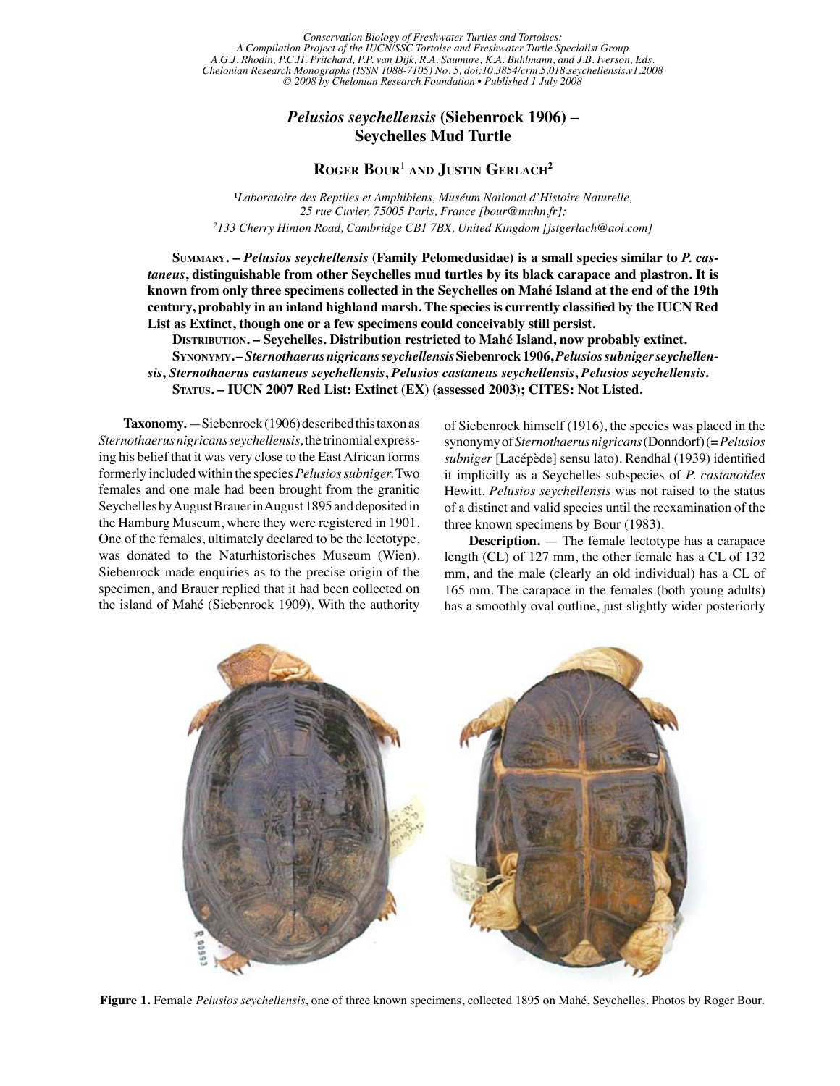Conservation Biology of Freshwater Turtles and Tortoises:<br>Project of the HICN/SSC Tortoise and Freshwater Turtle Specialist Group *A Compilation Project of the IUCN/SSC Tortoise and Freshwater Turtle Specialist Group A.G.J. Rhodin, P.C.H. Pritchard, P.P. van Dijk, R.A. Saumure, K.A. Buhlmann, and J.B. Iverson, Eds. Chelonian Research Monographs (ISSN 1088-7105) No. 5, doi:10.3854/crm.5.018.seychellensis.v1.2008 © 2008 by Chelonian Research Foundation • Published 1 July 2008*

## *Pelusios seychellensis* **(Siebenrock 1906) – Seychelles Mud Turtle**

## **Roger Bour**<sup>1</sup> **and Justin Gerlach<sup>2</sup>**

**1** *Laboratoire des Reptiles et Amphibiens, Muséum National d'Histoire Naturelle, 25 rue Cuvier, 75005 Paris, France [bour@mnhn.fr];* 2 *133 Cherry Hinton Road, Cambridge CB1 7BX, United Kingdom [jstgerlach@aol.com]*

 **Summary. –** *Pelusios seychellensis* **(Family Pelomedusidae) is a small species similar to** *P. castaneus***, distinguishable from other Seychelles mud turtles by its black carapace and plastron. It is known from only three specimens collected in the Seychelles on Mahé Island at the end of the 19th century, probably in an inland highland marsh. The species is currently classified by the IUCN Red List as Extinct, though one or a few specimens could conceivably still persist.**

 **Distribution. – Seychelles. Distribution restricted to Mahé Island, now probably extinct. Synonymy. –** *Sternothaerus nigricans seychellensis* **Siebenrock 1906,** *Pelusios subniger seychellensis***,** *Sternothaerus castaneus seychellensis***,** *Pelusios castaneus seychellensis***,** *Pelusios seychellensis***. Status. – IUCN 2007 Red List: Extinct (EX) (assessed 2003); CITES: Not Listed.**

**Taxonomy.** —Siebenrock (1906) described this taxon as *Sternothaerus nigricans seychellensis,* the trinomial expressing his belief that it was very close to the East African forms formerly included within the species *Pelusios subniger.* Two females and one male had been brought from the granitic Seychelles by August Brauer in August 1895 and deposited in the Hamburg Museum, where they were registered in 1901. One of the females, ultimately declared to be the lectotype, was donated to the Naturhistorisches Museum (Wien). Siebenrock made enquiries as to the precise origin of the specimen, and Brauer replied that it had been collected on the island of Mahé (Siebenrock 1909). With the authority

of Siebenrock himself (1916), the species was placed in the synonymy of *Sternothaerus nigricans* (Donndorf) (= *Pelusios subniger* [Lacépède] sensu lato). Rendhal (1939) identified it implicitly as a Seychelles subspecies of *P. castanoides* Hewitt. *Pelusios seychellensis* was not raised to the status of a distinct and valid species until the reexamination of the three known specimens by Bour (1983).

**Description.** — The female lectotype has a carapace length (CL) of 127 mm, the other female has a CL of 132 mm, and the male (clearly an old individual) has a CL of 165 mm. The carapace in the females (both young adults) has a smoothly oval outline, just slightly wider posteriorly



**Figure 1.** Female *Pelusios seychellensis*, one of three known specimens, collected 1895 on Mahé, Seychelles. Photos by Roger Bour.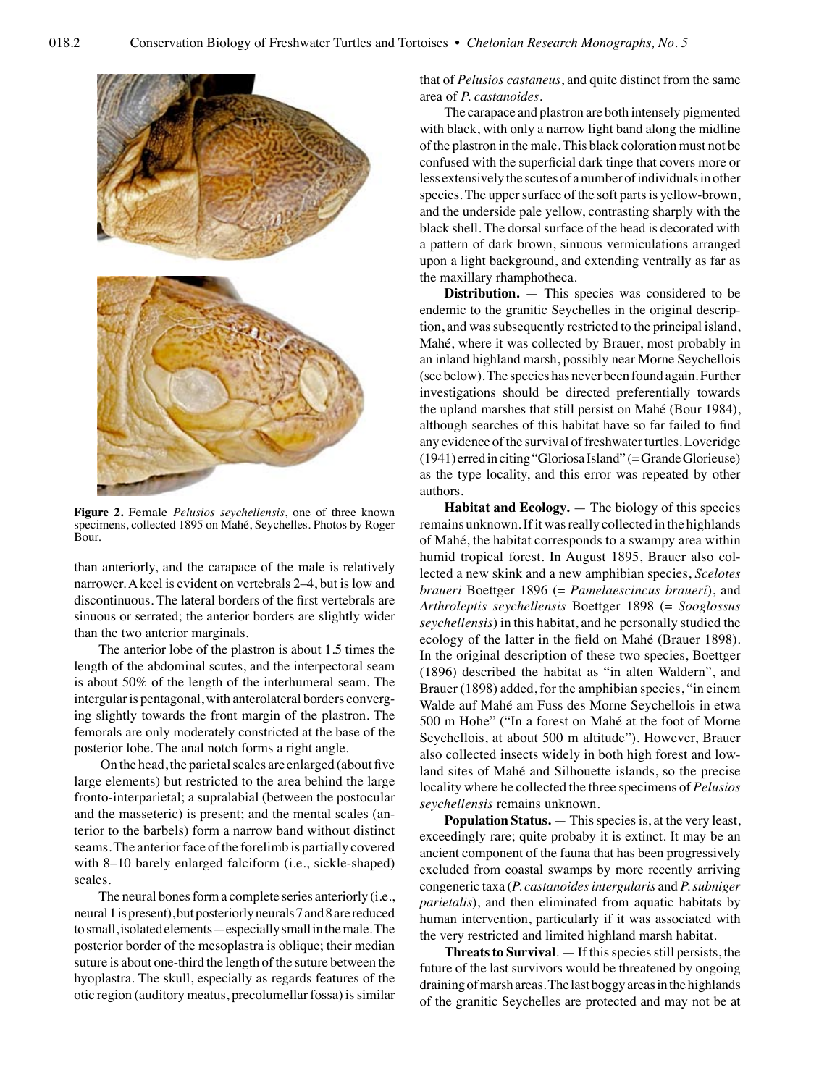

**Figure 2.** Female *Pelusios seychellensis*, one of three known specimens, collected 1895 on Mahé, Seychelles. Photos by Roger Bour.

than anteriorly, and the carapace of the male is relatively narrower. A keel is evident on vertebrals 2–4, but is low and discontinuous. The lateral borders of the first vertebrals are sinuous or serrated; the anterior borders are slightly wider than the two anterior marginals.

The anterior lobe of the plastron is about 1.5 times the length of the abdominal scutes, and the interpectoral seam is about 50% of the length of the interhumeral seam. The intergular is pentagonal, with anterolateral borders converging slightly towards the front margin of the plastron. The femorals are only moderately constricted at the base of the posterior lobe. The anal notch forms a right angle.

 On the head, the parietal scales are enlarged (about five large elements) but restricted to the area behind the large fronto-interparietal; a supralabial (between the postocular and the masseteric) is present; and the mental scales (anterior to the barbels) form a narrow band without distinct seams. The anterior face of the forelimb is partially covered with 8–10 barely enlarged falciform (i.e., sickle-shaped) scales.

The neural bones form a complete series anteriorly (i.e., neural 1 is present), but posteriorly neurals 7 and 8 are reduced to small, isolated elements—especially small in the male. The posterior border of the mesoplastra is oblique; their median suture is about one-third the length of the suture between the hyoplastra. The skull, especially as regards features of the otic region (auditory meatus, precolumellar fossa) is similar

that of *Pelusios castaneus*, and quite distinct from the same area of *P. castanoides*.

The carapace and plastron are both intensely pigmented with black, with only a narrow light band along the midline of the plastron in the male. This black coloration must not be confused with the superficial dark tinge that covers more or less extensively the scutes of a number of individuals in other species. The upper surface of the soft parts is yellow-brown, and the underside pale yellow, contrasting sharply with the black shell. The dorsal surface of the head is decorated with a pattern of dark brown, sinuous vermiculations arranged upon a light background, and extending ventrally as far as the maxillary rhamphotheca.

**Distribution.** — This species was considered to be endemic to the granitic Seychelles in the original description, and was subsequently restricted to the principal island, Mahé, where it was collected by Brauer, most probably in an inland highland marsh, possibly near Morne Seychellois (see below). The species has never been found again. Further investigations should be directed preferentially towards the upland marshes that still persist on Mahé (Bour 1984), although searches of this habitat have so far failed to find any evidence of the survival of freshwater turtles. Loveridge (1941) erred in citing "Gloriosa Island" (= Grande Glorieuse) as the type locality, and this error was repeated by other authors.

**Habitat and Ecology.** — The biology of this species remains unknown. If it was really collected in the highlands of Mahé, the habitat corresponds to a swampy area within humid tropical forest. In August 1895, Brauer also collected a new skink and a new amphibian species, *Scelotes braueri* Boettger 1896 (= *Pamelaescincus braueri*), and *Arthroleptis seychellensis* Boettger 1898 (= *Sooglossus seychellensis*) in this habitat, and he personally studied the ecology of the latter in the field on Mahé (Brauer 1898). In the original description of these two species, Boettger (1896) described the habitat as "in alten Waldern", and Brauer (1898) added, for the amphibian species, "in einem Walde auf Mahé am Fuss des Morne Seychellois in etwa 500 m Hohe" ("In a forest on Mahé at the foot of Morne Seychellois, at about 500 m altitude"). However, Brauer also collected insects widely in both high forest and lowland sites of Mahé and Silhouette islands, so the precise locality where he collected the three specimens of *Pelusios seychellensis* remains unknown.

**Population Status.** — This species is, at the very least, exceedingly rare; quite probaby it is extinct. It may be an ancient component of the fauna that has been progressively excluded from coastal swamps by more recently arriving congeneric taxa (*P. castanoides intergularis* and *P. subniger parietalis*), and then eliminated from aquatic habitats by human intervention, particularly if it was associated with the very restricted and limited highland marsh habitat.

**Threats to Survival**. — If this species still persists, the future of the last survivors would be threatened by ongoing draining of marsh areas. The last boggy areas in the highlands of the granitic Seychelles are protected and may not be at